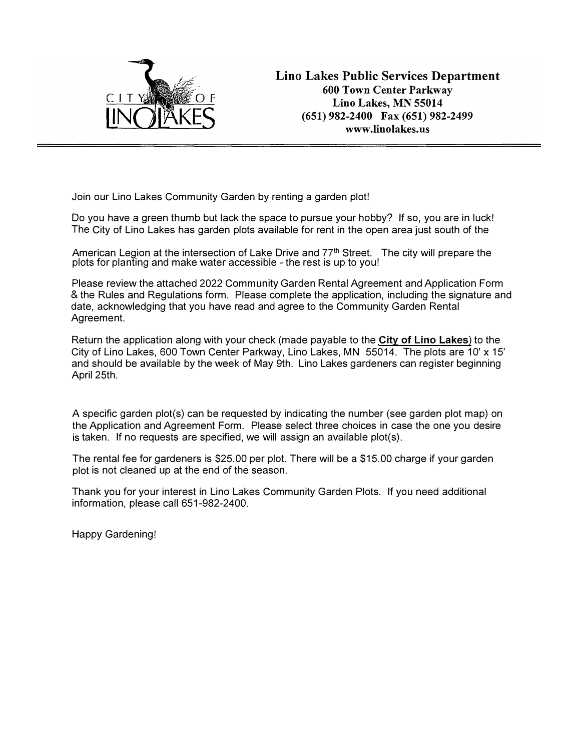

Join our Lino Lakes Community Garden by renting a garden plot!

Do you have a green thumb but lack the space to pursue your hobby? If so, you are in luck! The City of Lino Lakes has garden plots available for rent in the open area just south of the

American Legion at the intersection of Lake Drive and 77<sup>th</sup> Street. The city will prepare the plots for planting and make water accessible - the rest is up to you!

Please review the attached 2022 Community Garden Rental Agreement and Application Form & the Rules and Regulations form. Please complete the application, including the signature and date, acknowledging that you have read and agree to the Community Garden Rental Agreement.

Return the application along with your check (made payable to the **City of Lino Lakes**) to the City of Lino Lakes, 600 Town Center Parkway, Lino Lakes, MN 55014. The plots are 10' x 15' and should be available by the week of May 9th. Lino Lakes gardeners can register beginning April 25th.

A specific garden plot(s) can be requested by indicating the number (see garden plot map) on the Application and Agreement Form. Please select three choices in case the one you desire is taken. If no requests are specified, we will assign an available plot(s).

The rental fee for gardeners is \$25.00 per plot. There will be a \$15.00 charge if your garden plot is not cleaned up at the end of the season.

Thank you for your interest in Lino Lakes Community Garden Plots. If you need additional information, please call 651-982-2400.

Happy Gardening!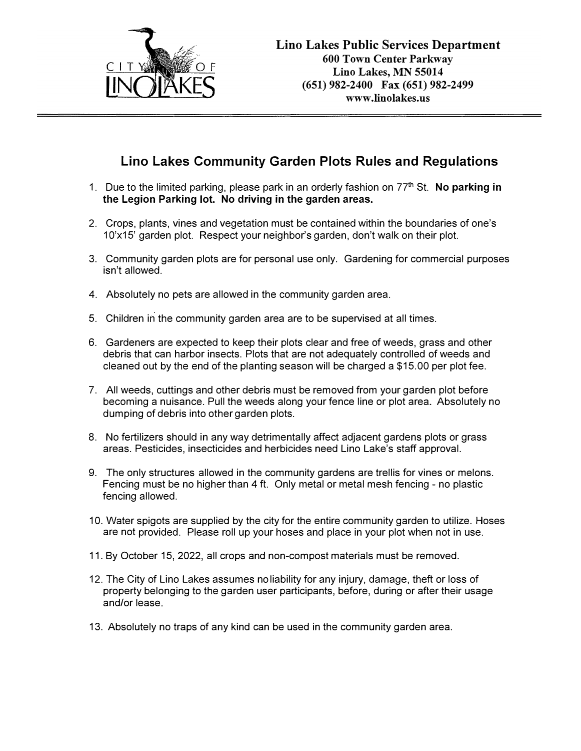

## **Lino Lakes Community Garden Plots Rules and Regulations**

- 1. Due to the limited parking, please park in an orderly fashion on 77 th St. **No parking in the Legion Parking lot. No driving in the garden areas.**
- 2. Crops, plants, vines and vegetation must be contained within the boundaries of one's 1O'x15' garden plot. Respect your neighbor's garden, don't walk on their plot.
- 3. Community garden plots are for personal use only. Gardening for commercial purposes isn't allowed.
- 4. Absolutely no pets are allowed in the community garden area.
- 5. Children in the community garden area are to be supervised at all times.
- 6. Gardeners are expected to keep their plots clear and free of weeds, grass and other debris that can harbor insects. Plots that are not adequately controlled of weeds and cleaned out by the end of the planting season will be charged a \$15.00 per plot fee.
- 7. All weeds, cuttings and other debris must be removed from your garden plot before becoming a nuisance. Pull the weeds along your fence line or plot area. Absolutely no dumping of debris into other garden plots.
- 8. No fertilizers should in any way detrimentally affect adjacent gardens plots or grass areas. Pesticides, insecticides and herbicides need Lino Lake's staff approval.
- 9. The only structures allowed in the community gardens are trellis for vines or melons. Fencing must be no higher than 4 ft. Only metal or metal mesh fencing - no plastic fencing allowed.
- 10. Water spigots are supplied by the city for the entire community garden to utilize. Hoses are not provided. Please roll up your hoses and place in your plot when not in use.
- 11. By October 15, 2022, all crops and non-compost materials must be removed.
- 12. The City of Lino Lakes assumes noliability for any injury, damage, theft or loss of property belonging to the garden user participants, before, during or after their usage and/or lease.
- 13. Absolutely no traps of any kind can be used in the community garden area.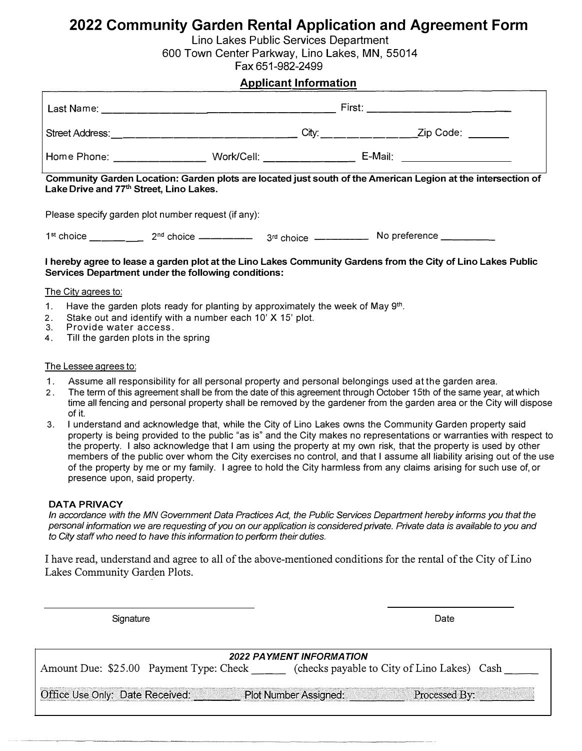# **2022 Community Garden Rental Application and Agreement Form**

Lino Lakes Public Services Department

600 Town Center Parkway, Lino Lakes, MN, 55014

Fax 651-982-2499

#### **Applicant Information**

| Last Name:      | First:     |           |
|-----------------|------------|-----------|
| Street Address: | City:      | Zip Code: |
| Home Phone:     | Work/Cell: | E-Mail:   |

**Community Garden Location: Garden plots are located just south of the American Legion at the intersection of**  Lake Drive and 77<sup>th</sup> Street, Lino Lakes.

Please specify garden plot number request (if any):

 $1<sup>st</sup>$  choice  $2<sup>nd</sup>$  choice  $\_\_$ nd choice ----- <sup>3</sup> rd choice ----- No preference \_\_\_\_ \_

#### **I hereby agree to lease a garden plot at the Lino Lakes Community Gardens from the City of Lino Lakes Public Services Department under the following conditions:**

#### The City agrees to:

- 1. Have the garden plots ready for planting by approximately the week of May  $9<sup>th</sup>$ .
- 2. Stake out and identify with a number each 10' X 15' plot.<br>3. Provide water access
- Provide water access.
- 4. Till the garden plots in the spring

#### The Lessee agrees to:

- 1. Assume all responsibility for all personal property and personal belongings used at the garden area.
- 2. The term of this agreement shall be from the date of this agreement through October 15th of the same year, at which time all fencing and personal property shall be removed by the gardener from the garden area or the City will dispose of it.
- 3. I understand and acknowledge that, while the City of Lino Lakes owns the Community Garden property said property is being provided to the public "as is" and the City makes no representations or warranties with respect to the property. I also acknowledge that I am using the property at my own risk, that the property is used by other members of the public over whom the City exercises no control, and that I assume all liability arising out of the use of the property by me or my family. I agree to hold the City harmless from any claims arising for such use of, or presence upon, said property.

#### **DATA PRIVACY**

In accordance with the MN Government Data Practices Act, the Public Services Department hereby informs you that the *personal information we are requesting of you on our application is considered private. Private data is available to you and to City staff who need to have this information to perform their duties.* 

I have read, understand and agree to all of the above-mentioned conditions for the rental of the City of Lino Lakes Community Garden Plots.

Signature **Date** 

| <b>2022 PAYMENT INFORMATION</b>                                                  |                                         |                                             |  |  |
|----------------------------------------------------------------------------------|-----------------------------------------|---------------------------------------------|--|--|
|                                                                                  | Amount Due: \$25.00 Payment Type: Check | (checks payable to City of Lino Lakes) Cash |  |  |
|                                                                                  |                                         |                                             |  |  |
| Office Use Only: Date Received:<br><b>Plot Number Assigned:</b><br>Processed By: |                                         |                                             |  |  |
|                                                                                  |                                         |                                             |  |  |